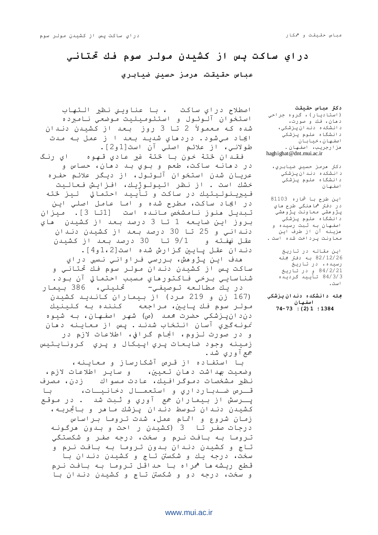# **دراي ضاكت پص از كشيدن مولر ضوم فك حتتاني**

**عباش حقيقت، ىرمس حطيين ضيابري**

اصطلاح دراي ساكت ، با عناويني نظير التهاب استخوان آلوئول و استئوميليت موضعي نامبرده شده که معمولاً 2 تا 3 روز بعد از کشیدن دنـدان ايجاد مي شود. دردهاي شديد بعد ا ز عمل به مدت طولانـي، از علائـم اصلـّي آن است[1و2].

فقدان لختة خون با لختة غير عادي قهوه لي رنگ در دهانـه ساكت، طعم و بـوي بـد دهان، حساس و عريـان شدن استخوان آلـوئـول، از ديـگر علائم حفـره خشك است . از نظر اتيولوژيك، افزايش فعاليت فيبرينوليتيك در ساكت و تأييد احتمالي ليز لخته در ايجاد ساكت، مطرح شده و اما عامل اصلي اين تبديل منوز نامشخص مانده است [1تا 3]. ميزان بِروز ايِن ضايِعه 1 تا 3 درصد بِعد از كشيدن ٍ ماي دنّداني و 25 تا 30 درصد بعد از كشيدن دندان عقل نهفـته و 9/1 تـا 30 درصد بـعد از كشيدن دنـدان عقـل پـايـن گـزارش شده است[2،1و4].

مدف ايِن پژوهش، بررسي فراواني نسبي دراي ساکت پس از کشیدن دنـدان مولـر سوم فك تحتانـي و شْناسايي برخي فاكتورهاي مسبب احتمالي آن بود. در يك مطالعه توصيفي- حتيلي، 386 بيمار

(167 زن و 219 مرد) از بيماران كانىديد كشيدن مولـر سوم فـك پـايـين، مـراجعه كـنـنـده بـه كـلـيـنـيك دنِدانپـزشکي حضرت محمـد (ص) شهر اصفـهـان، بـه شيـوه نمونـهگيري آسان انـتخاب شدنـد . پـس از معايـنه دهان و در صورت لـزوم، انجام گـرافي، اطلاعات لازم در زمينه وجود ضايعات پري اپيكال و پري كرونايتيس جمع اوري شد.

با استفاده از قرص آشکارساز و معاینه، وضعيت بهداشت دهان تعيين، وساير اطلاعات لازم، نظير مشخصات دموگرافيك، عادت مسواك (دن، مصرف قــزص ضــدبـارداري و استعمــال دخانـيــات، بـا پـرسش از بيماران جمع آوري و ثبت شد . در موقع کشيدن دندان توسط دندان پزشك ما هر و باتجربه، زمان شروع و اتمام عمل، شدت تروما براساس درجات صفـر تـا  $3$  (كشيـدن ر احت و بـدون هرگـونـه تروما به بافت نرم و سخت، درجه صفر و شکستگي تاج و کشیدن دندان بدون تروما به بافت نرم و سخت، درجه يك و شكستن تاج و كشيدن دندان با قطع ريشه ها <sup>ه</sup>مراه با حداقل تروما به بافت نرم و سخت، درجه دو و شکستن تاج و کشیدن دندان با

**دكرت عباش حقيقت** (استاديار)، گروه جراحي دهان، فك و صورت، دانشكده دندانپزشكي، دانشگاه علوم پزشکي اصفهان، خيابان هزارجريب، اصفهان. haghighat@dnt.mui.ac.ir

دكتر مرمز حسيني ضيابري، دانشکده دندان پزشکي دانشگاه علوم پزشکي اصفهان

ايِن طرح با شماره 81103 در دفتر <sup>ه</sup>ما منگي طرح ماي پژوهشي معاونت پژوهشي دانشگاه علوم پزشکي اصفـهان به ثبت رسيده و هزينه آن از طرف اين معاونت پرداخت شده است .

> اين مقاله در تاريخ .<br>82/12/26 به دفتر جمله رسيده، در تاريخ 84/2/21 و در تاريخ 84/3/3 تأييد گرديده اطث.

**جملو دانشكده دندان پسشكي اصفيان 1384؛ 1)2(: 74-73**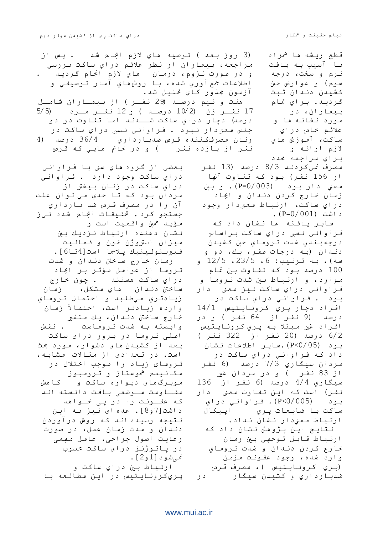قطع ريشه ها <sup>ه</sup>مراه با آسيب به بافت نرم و سخت، درجه سوم) و عوارض حين كشيدن دندان ثبت گرديد. براي تمام بيماران، در مورد نشانه ها و علائم خاص دراي ساكت، آموزش های لازم ارائه و ثزاي ٍزاجؼٔ جمذد (3 روز بعد ) تـوصيه هاي لازم انجام شد . پس از مراجعه، بيماران از نظر علائم دراي ساكت بررسي و در صورت لـزوم، درمان هاي لازم انجام گرديـد . اطلاعات جمع آوري شده، با روش،هاي آمار توصيفي و آزمون ججذور کاي تحليل شد. ِّمفت و نيم درصـد (29 نفـر ) از بيمـاران شامـل 17 نفــر زن (2/2 درصــد ) و 12 نفــر مــرد (5/5 درصد) دچار دراي ساكت شـــدند اما تفاوت در دو جنس معني‹ار نبود . فراواني نسبي دراي ساكت در زنان مصرفكننده قرص ضدبارداري 36/4 درصد (4 نفر از يازده نفر أو در خانم هايي كه قرص مصرف نميكردنـد 8/3 درصد (13 نفر از 156 نفر) بود که تفاوت آنها  $\mu$ دار بود (003/003). وبن زمان خارج كردن دندان و ايجاد دراي ساكت، ارتباط معنى دار وجود داشت (001/001). ساير يافته ها نشان داد كه فراوانّي نسبي دراي ساكت براساس درجه بندي شدت تروماي حين كشيدن دندان (به درجات صفر، يك، دو و سه)، به ترتيب: 6، 23/5، 12/5 و 100 درصد بود که تفاوت بين تمام موارد، و ارتباط بين شدت تـروما و فراواني دراي ساكت نيز معني دار بود . فراواني دراي ساكت در افراد دچار پري كرونايتيس 14/1 درصد (9 نفر از 64 نفر ) و در افـراد غير مـبـتلا بـه پـري كـرونـايـتيس 6/2 درصد (20 نفر از 322 نفر ) بود (0/05).4×1بير اطلاعات نشان داد که فراواني دراي ساکت در مردان سيگاري 7/3 درصد (6 نفر از 83 نـفـر ) و در مـردان غير سيگاري 4/4 درصد (6 نفر از 136 نفر) است كه ايِن تفاوت معنى دار بـود (005/P<0). فـراوانـي دراي ساكت با ضايعات پري اپيكال ارتباط معنىدار نشان نداد. نتايـج اين پـژوهش نـشان داد كه ارتباط قابل توجهي بين زمان خارج كردن دندان و شدت تروماي وارد شده، وجود عفـونت مـزمـن (پري كرونايتيس )، مصرف قرص ضدبارداري و کشيدن سيگار در بعضي از گروه هاي سني با فراواني دراي ساكت وجود دارد . فراواني دراي ساكت در زنان بيشتر از مردان بود كه تا حدي مي توان علت آن را در مصرف قرص ضد بارداري جستجو كرد. تحقيقات انجام شده نيز مـؤيـد <sup>ه</sup>مين واقـعيت است و نشان دهنده ارتباط نزديك بن میزان استروژُن خُون و فعالیت فيبرينوليتيك پلاسما است[4تا6]. زمان خارج ساختن دنـدان و شدت تروما از عوامل مؤثر بر ايجاد دراي ساكت مستند . چون خارج ساختن دنـدان ماي مـشكل، زمـان زيادتري ميطلبد و احتمال تروماي وارده زيادتـر است، احتمالاً زمان .<br>خما رج ساختن دنـدان، يـك مـتغير وابسته به شدت تروماست . . نقش اصلی تروما در بروز درای ساکت بعد از کشیدن مای دشوار، مورد بحث است. در تعدادی از مقالات مشابه، تـرومـای زیـاد را مـوجب اخـتلال در مکانيسم <sup>ه</sup>موستاز و ترومبوز مويزگ ماى ديواره ساكت و کامش مقــاومت مــوضعی بـافت دانـستـه انـد که عفــونت را در پـی خــواهد داشت[7و8]. عده ای نیز به این نـتيجه رسيده انـد کـه روش درآوردن دندان و مدت زمان عمل، در صورت رعایت اصول جراحی، عامل مهمی در پاتوژنز درای ساکت محسوب نمیشود [1و2]. ارتباط بين دراي ساكت و يري کرونايـتيس در اين مطالعه با

### [www.mui.ac.ir](http://www.mui.ac.ir)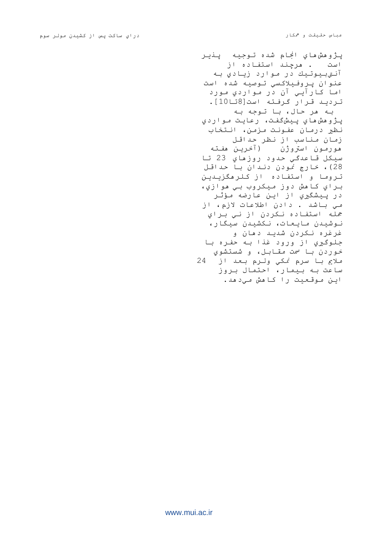پژوهش هاي انجام شده توجيه پنير است . هرچند استفاده از آنتي بيوتيك در موارد زيادي به عنوان پروفيلاكسي توصيه شده است اما کارآيي آن در مواردي مورد ترديد قرار گرفته است[8تا10]. به هر حال، با توجه به پژوهش هاي پيشگفت، رعايت مواردي نظير درمان عفـونت مـزمـن، انـتخاب زمان مناسب از نظر حداقل هورمـون استروژُن (آخریـن هفـتـه سيكل قاعدگي حدود روزهاي 23 تا 28)، خارج نمودن دندان با حداقل تروما و استفاده از كلرهگزيىدينِ براي كاهش دوز مبكروب بي هوازي، در پيشگيري از اين عارضه مؤثر مي باشد . دادن اطلاعات لازم، از جمله استفاده نكردن از ني براي نـوشيدن مـايعات، نـكشيدن سيگار، غرغره نکردن شديد دهان و جلوگيري از ورود غذا به حفره با خوردن با سمت مقابل، و شستشوي ملاع با سرم نمكى ولرم بعد از 24 ساعت به بيمار، احتمال بروز ايِن موقعيت را كامش مي⊂هد.

[www.mui.ac.ir](http://www.mui.ac.ir)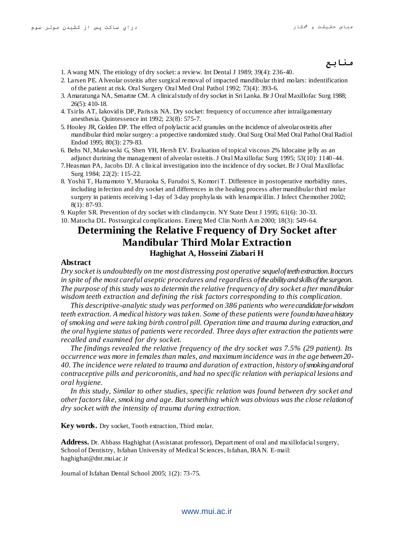## **منابع**

- 1. Awang MN. The etiology of dry socket: a review. Int Dental J 1989; 39(4): 236-40.
- 2. Larsen PE. Alveolar osteitis after surgical removal of impacted mandibular third molars: indentification of the patient at risk. Oral Surgery Oral Med Oral Pathol 1992; 73(4): 393-6.
- 3. Amaratunga NA, Senartne CM. A clinical study of dry socket in Sri Lanka. Br J Oral Maxillofac Surg 1988; 26(5): 410-18.
- 4. Tsirlis AT, Iakovidis DP, Parissis NA. Dry socket: frequency of occurrence after intrailgamentary anesthesia. Quintessence int 1992; 23(8): 575-7.
- 5. Hooley JR, Golden DP. The effect of polylactic acid granules on the incidence of alveolar osteitis after mandibular third molar surgery: a propective randomized study. Oral Surg Oral Med Oral Pathol Oral Radiol Endod 1995; 80(3): 279-83.
- 6. Behs NJ, Makowski G, Shen YH, Hersh EV. Evaluation of topical viscous 2% lidocaine jelly as an adjunct durining the management of alveolar osteitis. J Oral Maxillofac Surg 1995; 53(10): 1140 -44.
- 7.Heasman PA, Jacobs DJ. A c linical investigation into the incidence of dry socket. Br J Oral Maxillofac Surg 1984; 22(2): 115-22.
- 8. Yoshii T, Hamamoto Y, Muraoka S, Furudoi S, Komori T. Difference in postoperative morbidity rates, including infection and dry socket and differences in the healing process after mandibular third molar surgery in patients receiving 1-day of 3-day prophylaxis with lenampicillin. J Infect Chemother 2002; 8(1): 87-93.
- 9. Kupfer SR. Prevention of dry socket with clindamycin. NY State Dent J 1995; 61(6): 30-33.

10. Matocha DL. Postsurgical complications. Emerg Med Clin North Am 2000; 18(3): 549-64.

# **Determining the Relative Frequency of Dry Socket after Mandibular Third Molar Extraction Haghighat A, Hosseini Ziabari H**

#### **Abstract**

*Dry socket is undoubtedly on tne most distressing post operative sequel of teeth extraction. It occurs in spite of the most careful aseptic procedures and regardless of the ability and skills of the surgeon. The purpose of this study was to determin the relative frequency of dry socket after mandibular wisdom teeth extraction and defining the risk factors corresponding to this complication.* 

*This descriptive-analytic study was performed on 386 patients who were candidate for wisdom teeth extraction. A medical history was taken. Some of these patients were found to have a history of smoking and were taking birth control pill. Operation time and trauma during extraction, and the oral hygiene status of patients were recorded. Three days after extraction the patients were recalled and examined for dry socket.*

*The findings revealed the relative frequency of the dry socket was 7.5% (29 patient). Its occurrence was more in females than males, and maximum incidence was in the age between 20- 40. The incidence were related to trauma and duration of extraction, history of smoking and oral contraceptive pills and pericoronitis, and had no specific relation with periapical lesions and oral hygiene.*

*In this study, Similar to other studies, specific relation was found between dry socket and other factors like, smoking and age. But something which was obvious was the close relation of dry socket with the intensity of trauma during extraction.*

**Key words.** Dry socket, Tooth extraction, Third molar.

**Address.** Dr. Abbass Haghighat (Assistanat professor), Department of oral and maxillofacial surgery, School of Dentistry, Isfahan University of Medical Sciences, Isfahan, IRAN. E-mail: haghighat@dnt.mui.ac.ir

Journal of Isfahan Dental School 2005; 1(2): 73-75.